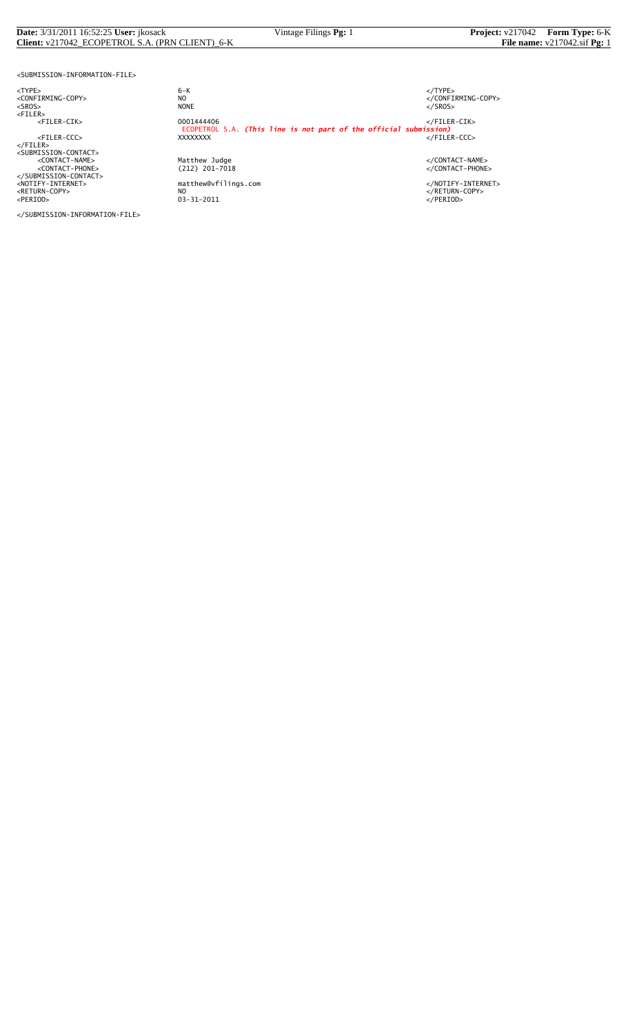#### **Date:** 3/31/2011 16:52:25 **User:** jkosack Vintage Filings **Pg:** 1 **Project:** v217042 **Form Type:** 6-K **Client:** v217042\_ECOPETROL S.A. (PRN CLIENT)\_6-K **File name:** v217042.sif **Pg:** 1

<SUBMISSION-INFORMATION-FILE>

<NOTIFY-INTERNET> matthew@vfilings.com </NOTIFY-INTERNET> <RETURN-COPY> NO </RETURN-COPY> <PERIOD> 03-31-2011 </PERIOD>

</SUBMISSION-INFORMATION-FILE>

<TYPE> 6-K </TYPE> essence<br>
NO<br>
NO CONFIRMING-COPY><br>
NONE<br>
</SROS> <SROS> NONE </SROS> <FILER> <FILER-CIK> 0001444406 </FILER-CIK> ECOPETROL S.A. *(This line is not part of the official submission)* <FILER-CCC> XXXXXXXX </FILER-CCC> </FILER><br><SUBMISSION-CONTACT><br><CONTACT-NAME> </CONTACT-NAME></CONTACT-NAME><br><</CONTACT-PHONE></CONTACT-PHONE></CONTACT-PHONE><br></SUBMISSION-CONTACT>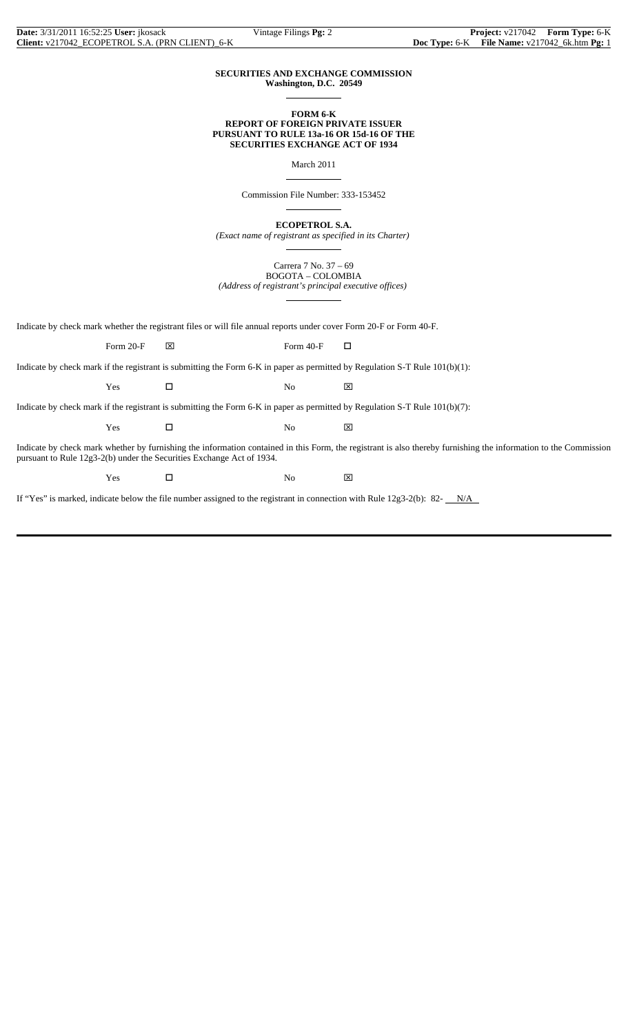#### **SECURITIES AND EXCHANGE COMMISSION Washington, D.C. 20549**

 $\overline{a}$ 

 $\overline{a}$ 

 $\overline{a}$ 

 $\overline{a}$ 

 $\overline{a}$ 

#### **FORM 6-K REPORT OF FOREIGN PRIVATE ISSUER PURSUANT TO RULE 13a-16 OR 15d-16 OF THE SECURITIES EXCHANGE ACT OF 1934**

March 2011

Commission File Number: 333-153452

**ECOPETROL S.A.**

*(Exact name of registrant as specified in its Charter)*

Carrera 7 No. 37 – 69 BOGOTA – COLOMBIA *(Address of registrant's principal executive offices)*

Indicate by check mark whether the registrant files or will file annual reports under cover Form 20-F or Form 40-F.

Form 20-F  $\boxtimes$  Form 40-F  $\Box$ 

Indicate by check mark if the registrant is submitting the Form 6-K in paper as permitted by Regulation S-T Rule 101(b)(1):

Yes □ No ⊠

Indicate by check mark if the registrant is submitting the Form 6-K in paper as permitted by Regulation S-T Rule 101(b)(7):

 $Yes$   $\Box$  No  $\boxtimes$ 

Indicate by check mark whether by furnishing the information contained in this Form, the registrant is also thereby furnishing the information to the Commission pursuant to Rule 12g3-2(b) under the Securities Exchange Act of 1934.

 $Yes$   $\square$  No  $\boxtimes$ 

If "Yes" is marked, indicate below the file number assigned to the registrant in connection with Rule 12g3-2(b): 82- N/A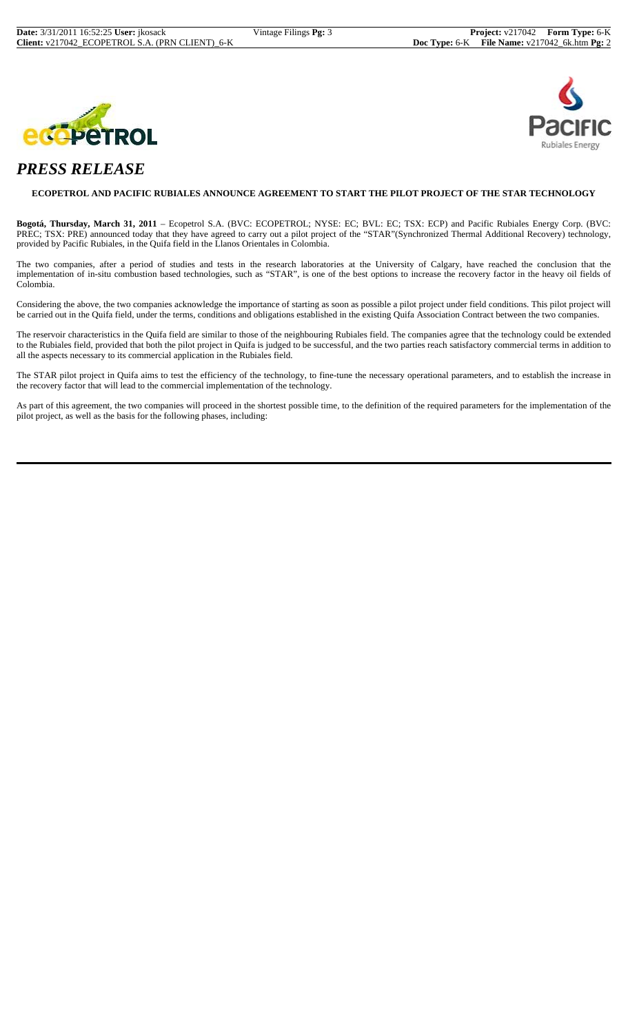



# *PRESS RELEASE*

#### **ECOPETROL AND PACIFIC RUBIALES ANNOUNCE AGREEMENT TO START THE PILOT PROJECT OF THE STAR TECHNOLOGY**

**Bogotá, Thursday, March 31, 2011** – Ecopetrol S.A. (BVC: ECOPETROL; NYSE: EC; BVL: EC; TSX: ECP) and Pacific Rubiales Energy Corp. (BVC: PREC; TSX: PRE) announced today that they have agreed to carry out a pilot project of the "STAR"(Synchronized Thermal Additional Recovery) technology, provided by Pacific Rubiales, in the Quifa field in the Llanos Orientales in Colombia.

The two companies, after a period of studies and tests in the research laboratories at the University of Calgary, have reached the conclusion that the implementation of in-situ combustion based technologies, such as "STAR", is one of the best options to increase the recovery factor in the heavy oil fields of Colombia.

Considering the above, the two companies acknowledge the importance of starting as soon as possible a pilot project under field conditions. This pilot project will be carried out in the Quifa field, under the terms, conditions and obligations established in the existing Quifa Association Contract between the two companies.

The reservoir characteristics in the Quifa field are similar to those of the neighbouring Rubiales field. The companies agree that the technology could be extended to the Rubiales field, provided that both the pilot project in Quifa is judged to be successful, and the two parties reach satisfactory commercial terms in addition to all the aspects necessary to its commercial application in the Rubiales field.

The STAR pilot project in Quifa aims to test the efficiency of the technology, to fine-tune the necessary operational parameters, and to establish the increase in the recovery factor that will lead to the commercial implementation of the technology.

As part of this agreement, the two companies will proceed in the shortest possible time, to the definition of the required parameters for the implementation of the pilot project, as well as the basis for the following phases, including: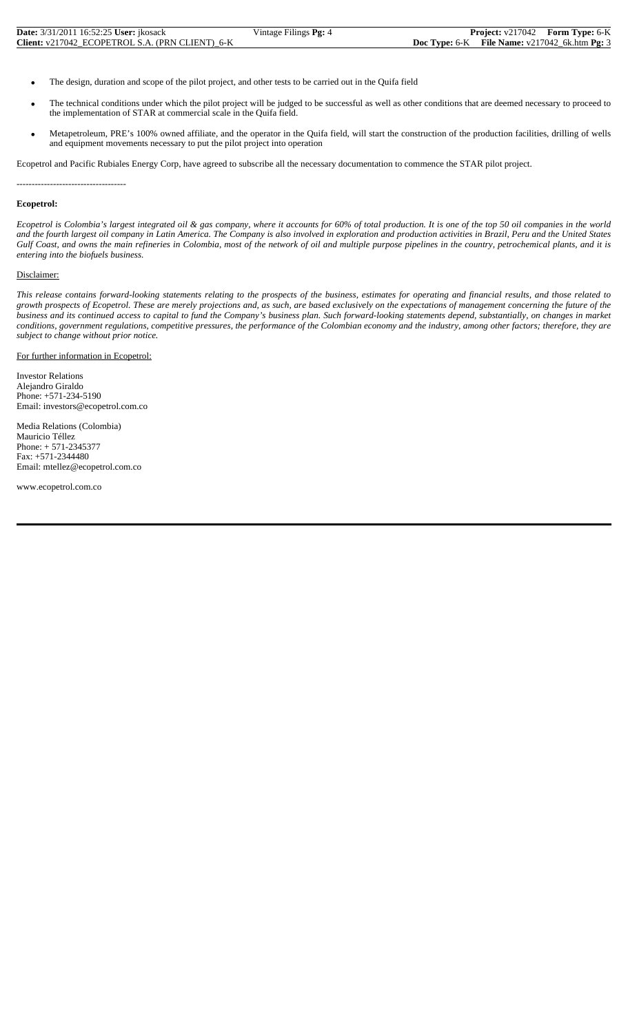| <b>Date:</b> 3/31/2011 16:52:25 User: jkosack   | Vintage Filings <b>Pg:</b> 4 | <b>Project:</b> $v217042$ <b>Form Type:</b> 6-K        |
|-------------------------------------------------|------------------------------|--------------------------------------------------------|
| Client: v217042 ECOPETROL S.A. (PRN CLIENT) 6-K |                              | <b>Doc Type:</b> 6-K File Name: $v217042$ 6k.htm Pg: 3 |

- The design, duration and scope of the pilot project, and other tests to be carried out in the Quifa field
- The technical conditions under which the pilot project will be judged to be successful as well as other conditions that are deemed necessary to proceed to the implementation of STAR at commercial scale in the Quifa field.
- Metapetroleum, PRE's 100% owned affiliate, and the operator in the Quifa field, will start the construction of the production facilities, drilling of wells and equipment movements necessary to put the pilot project into operation

Ecopetrol and Pacific Rubiales Energy Corp, have agreed to subscribe all the necessary documentation to commence the STAR pilot project.

------------------------------------

### **Ecopetrol:**

*Ecopetrol is Colombia's largest integrated oil & gas company, where it accounts for 60% of total production. It is one of the top 50 oil companies in the world and the fourth largest oil company in Latin America. The Company is also involved in exploration and production activities in Brazil, Peru and the United States Gulf Coast, and owns the main refineries in Colombia, most of the network of oil and multiple purpose pipelines in the country, petrochemical plants, and it is entering into the biofuels business.*

#### Disclaimer:

*This release contains forward-looking statements relating to the prospects of the business, estimates for operating and financial results, and those related to growth prospects of Ecopetrol. These are merely projections and, as such, are based exclusively on the expectations of management concerning the future of the business and its continued access to capital to fund the Company's business plan. Such forward-looking statements depend, substantially, on changes in market conditions, government regulations, competitive pressures, the performance of the Colombian economy and the industry, among other factors; therefore, they are subject to change without prior notice.*

#### For further information in Ecopetrol:

Investor Relations Alejandro Giraldo Phone: +571-234-5190 Email: investors@ecopetrol.com.co

Media Relations (Colombia) Mauricio Téllez Phone: + 571-2345377 Fax: +571-2344480 Email: mtellez@ecopetrol.com.co

www.ecopetrol.com.co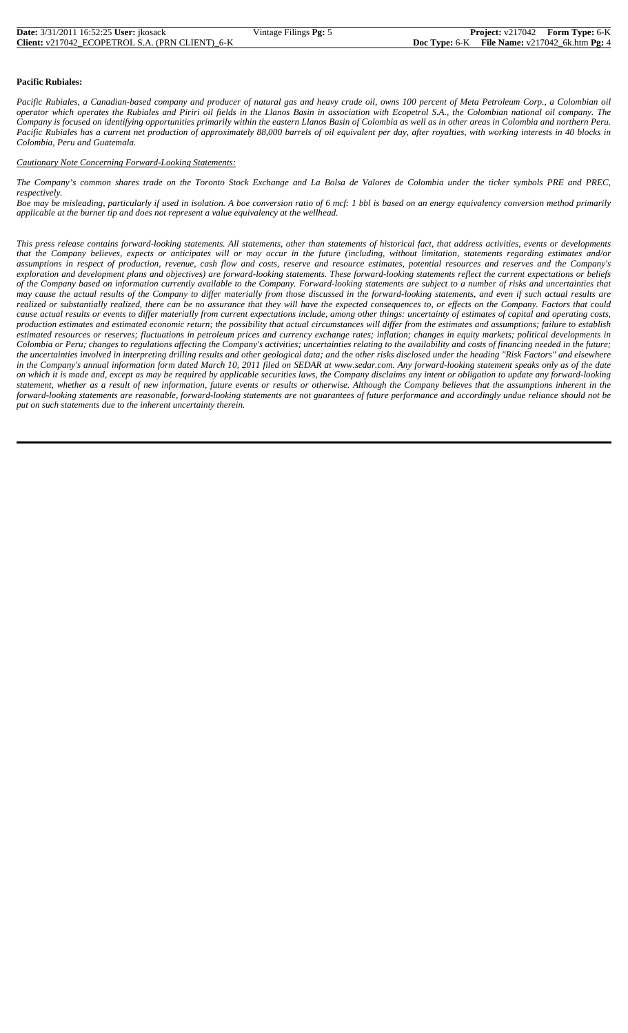| <b>Date:</b> 3/31/2011 16:52:25 User: ikosack          | Vintage Filings $Pg: 5$ | <b>Project:</b> $v217042$ <b>Form Type:</b> 6-K        |  |
|--------------------------------------------------------|-------------------------|--------------------------------------------------------|--|
| <b>Client:</b> v217042 ECOPETROL S.A. (PRN CLIENT) 6-K |                         | <b>Doc Type:</b> 6-K File Name: $v217042$ 6k.htm Pg: 4 |  |

#### **Pacific Rubiales:**

*Pacific Rubiales, a Canadian-based company and producer of natural gas and heavy crude oil, owns 100 percent of Meta Petroleum Corp., a Colombian oil operator which operates the Rubiales and Piriri oil fields in the Llanos Basin in association with Ecopetrol S.A., the Colombian national oil company. The Company is focused on identifying opportunities primarily within the eastern Llanos Basin of Colombia as well as in other areas in Colombia and northern Peru. Pacific Rubiales has a current net production of approximately 88,000 barrels of oil equivalent per day, after royalties, with working interests in 40 blocks in Colombia, Peru and Guatemala.* 

#### *Cautionary Note Concerning Forward-Looking Statements:*

*The Company's common shares trade on the Toronto Stock Exchange and La Bolsa de Valores de Colombia under the ticker symbols PRE and PREC, respectively.* 

*Boe may be misleading, particularly if used in isolation. A boe conversion ratio of 6 mcf: 1 bbl is based on an energy equivalency conversion method primarily applicable at the burner tip and does not represent a value equivalency at the wellhead.*

*This press release contains forward-looking statements. All statements, other than statements of historical fact, that address activities, events or developments that the Company believes, expects or anticipates will or may occur in the future (including, without limitation, statements regarding estimates and/or assumptions in respect of production, revenue, cash flow and costs, reserve and resource estimates, potential resources and reserves and the Company's exploration and development plans and objectives) are forward-looking statements. These forward-looking statements reflect the current expectations or beliefs of the Company based on information currently available to the Company. Forward-looking statements are subject to a number of risks and uncertainties that may cause the actual results of the Company to differ materially from those discussed in the forward-looking statements, and even if such actual results are realized or substantially realized, there can be no assurance that they will have the expected consequences to, or effects on the Company. Factors that could cause actual results or events to differ materially from current expectations include, among other things: uncertainty of estimates of capital and operating costs, production estimates and estimated economic return; the possibility that actual circumstances will differ from the estimates and assumptions; failure to establish estimated resources or reserves; fluctuations in petroleum prices and currency exchange rates; inflation; changes in equity markets; political developments in Colombia or Peru; changes to regulations affecting the Company's activities; uncertainties relating to the availability and costs of financing needed in the future; the uncertainties involved in interpreting drilling results and other geological data; and the other risks disclosed under the heading "Risk Factors" and elsewhere in the Company's annual information form dated March 10, 2011 filed on SEDAR at www.sedar.com. Any forward-looking statement speaks only as of the date on which it is made and, except as may be required by applicable securities laws, the Company disclaims any intent or obligation to update any forward-looking statement, whether as a result of new information, future events or results or otherwise. Although the Company believes that the assumptions inherent in the forward-looking statements are reasonable, forward-looking statements are not guarantees of future performance and accordingly undue reliance should not be put on such statements due to the inherent uncertainty therein.*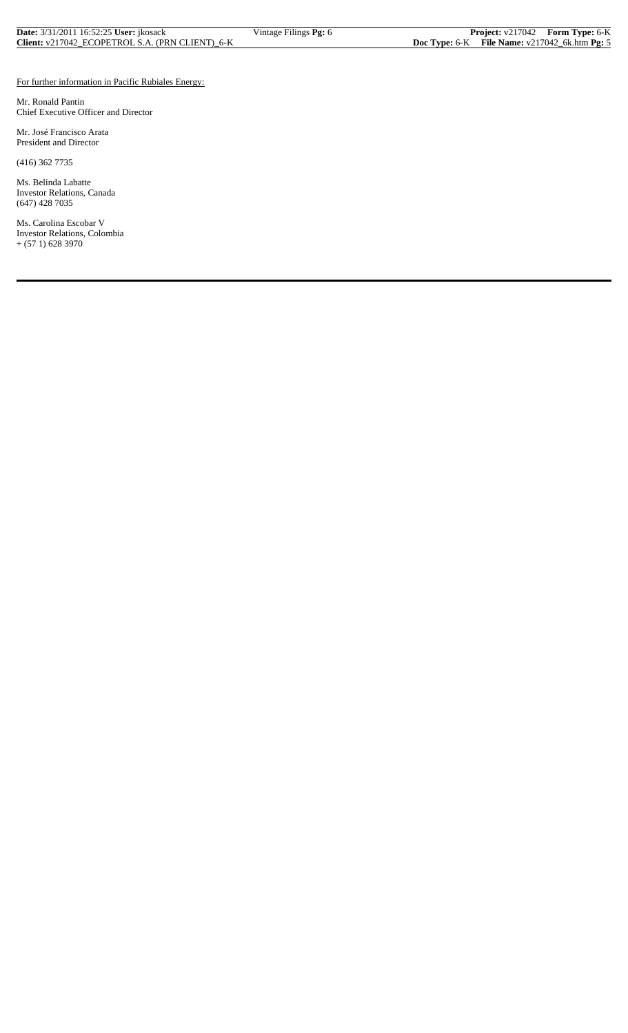| <b>Date:</b> 3/31/2011 16:52:25 User: <i>ikosack</i> | Vintage Filings Pg: 6 |                                                    | <b>Project:</b> v217042 Form Type: 6-K |
|------------------------------------------------------|-----------------------|----------------------------------------------------|----------------------------------------|
| Client: v217042 ECOPETROL S.A. (PRN CLIENT) 6-K      |                       | Doc Type: $6-K$ File Name: $v217042_6$ k.htm Pg: 5 |                                        |

#### For further information in Pacific Rubiales Energy:

Mr. Ronald Pantin Chief Executive Officer and Director

Mr. José Francisco Arata President and Director

(416) 362 7735

Ms. Belinda Labatte Investor Relations, Canada (647) 428 7035

Ms. Carolina Escobar V Investor Relations, Colombia + (57 1) 628 3970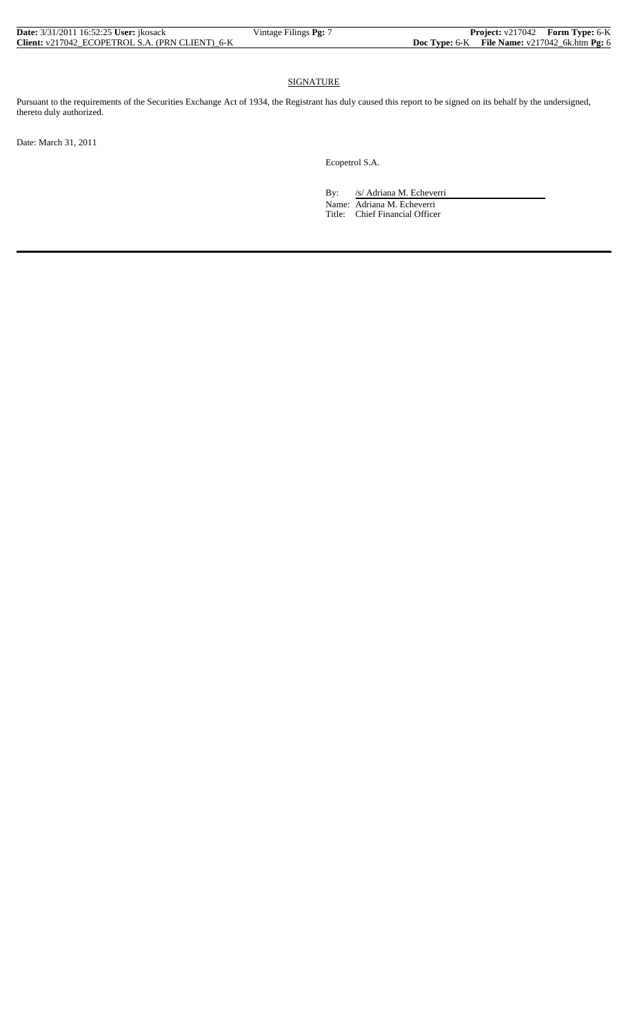| <b>Date:</b> 3/31/2011 16:52:25 <b>User:</b> ikosack | Vintage Filings $Pg: \gamma$ |  | <b>Project:</b> v217042 Form Type: 6-K                   |
|------------------------------------------------------|------------------------------|--|----------------------------------------------------------|
| Client: v217042 ECOPETROL S.A. (PRN CLIENT) 6-K      |                              |  | <b>Doc Type:</b> $6-K$ File Name: $v217042$ 6k.htm Pg: 6 |

## **SIGNATURE**

Pursuant to the requirements of the Securities Exchange Act of 1934, the Registrant has duly caused this report to be signed on its behalf by the undersigned, thereto duly authorized.

Date: March 31, 2011

Ecopetrol S.A.

By: /s/ Adriana M. Echeverri Name: Adriana M. Echeverri Title: Chief Financial Officer